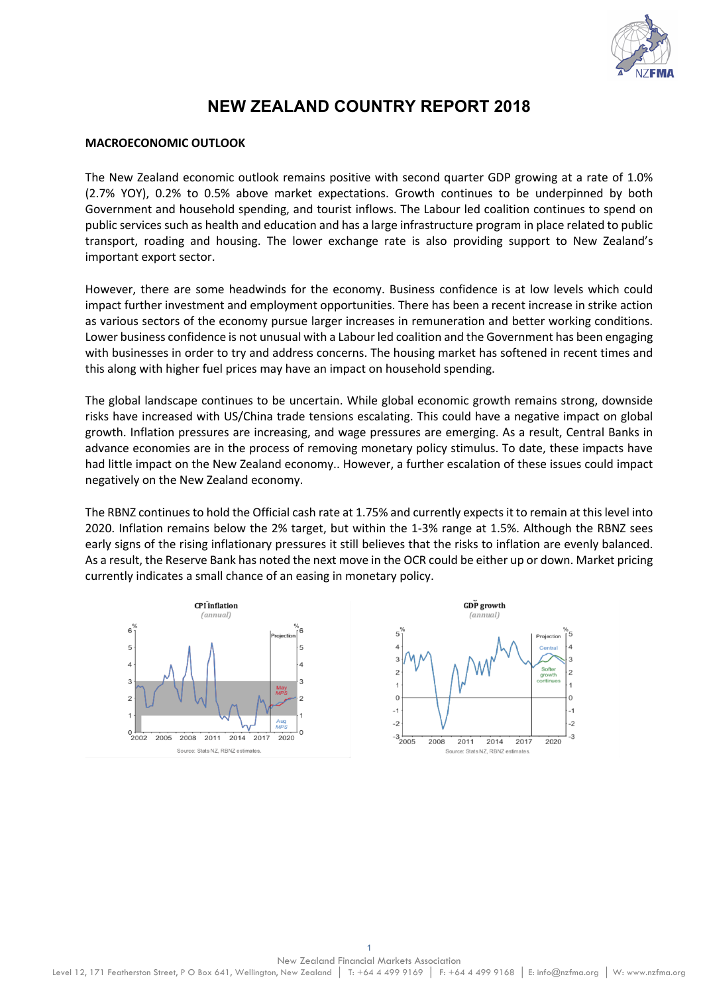

# **NEW ZEALAND COUNTRY REPORT 2018**

### **MACROECONOMIC OUTLOOK**

The New Zealand economic outlook remains positive with second quarter GDP growing at a rate of 1.0% (2.7% YOY), 0.2% to 0.5% above market expectations. Growth continues to be underpinned by both Government and household spending, and tourist inflows. The Labour led coalition continues to spend on public services such as health and education and has a large infrastructure program in place related to public transport, roading and housing. The lower exchange rate is also providing support to New Zealand's important export sector.

However, there are some headwinds for the economy. Business confidence is at low levels which could impact further investment and employment opportunities. There has been a recent increase in strike action as various sectors of the economy pursue larger increases in remuneration and better working conditions. Lower business confidence is not unusual with a Labour led coalition and the Government has been engaging with businesses in order to try and address concerns. The housing market has softened in recent times and this along with higher fuel prices may have an impact on household spending.

The global landscape continues to be uncertain. While global economic growth remains strong, downside risks have increased with US/China trade tensions escalating. This could have a negative impact on global growth. Inflation pressures are increasing, and wage pressures are emerging. As a result, Central Banks in advance economies are in the process of removing monetary policy stimulus. To date, these impacts have had little impact on the New Zealand economy.. However, a further escalation of these issues could impact negatively on the New Zealand economy.

The RBNZ continues to hold the Official cash rate at 1.75% and currently expects it to remain at this level into 2020. Inflation remains below the 2% target, but within the 1-3% range at 1.5%. Although the RBNZ sees early signs of the rising inflationary pressures it still believes that the risks to inflation are evenly balanced. As a result, the Reserve Bank has noted the next move in the OCR could be either up or down. Market pricing currently indicates a small chance of an easing in monetary policy.

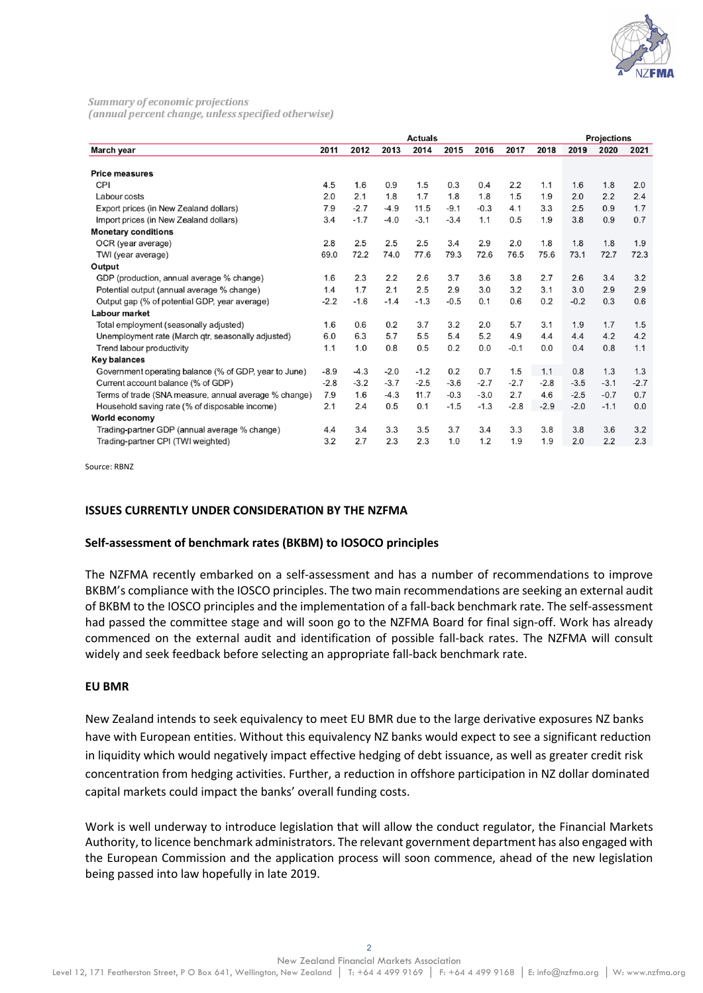

Summary of economic projections (annual percent change, unless specified otherwise)

| 2011<br>2012<br>2013<br>2014<br>2015<br>2016<br>2017<br>2018<br>2019<br>2020<br>March year<br><b>Price measures</b><br><b>CPI</b><br>4.5<br>1.6<br>0.9<br>1.5<br>0.3<br>2.2<br>1.1<br>1.8<br>0.4<br>1.6<br>2.1<br>2.2<br>1.8<br>1.7<br>1.5<br>Labour costs<br>2.0<br>1.8<br>1.8<br>1.9<br>2.0<br>$-2.7$<br>7.9<br>$-4.9$<br>11.5<br>$-9.1$<br>3.3<br>2.5<br>Export prices (in New Zealand dollars)<br>$-0.3$<br>4.1<br>0.9 | 2021<br>2.0<br>2.4 |
|----------------------------------------------------------------------------------------------------------------------------------------------------------------------------------------------------------------------------------------------------------------------------------------------------------------------------------------------------------------------------------------------------------------------------|--------------------|
|                                                                                                                                                                                                                                                                                                                                                                                                                            |                    |
|                                                                                                                                                                                                                                                                                                                                                                                                                            |                    |
|                                                                                                                                                                                                                                                                                                                                                                                                                            |                    |
|                                                                                                                                                                                                                                                                                                                                                                                                                            |                    |
|                                                                                                                                                                                                                                                                                                                                                                                                                            | 1.7                |
| $-1.7$<br>$-3.1$<br>3.4<br>$-4.0$<br>$-3.4$<br>1.1<br>0.5<br>1.9<br>3.8<br>0.9<br>Import prices (in New Zealand dollars)                                                                                                                                                                                                                                                                                                   | 0.7                |
| <b>Monetary conditions</b>                                                                                                                                                                                                                                                                                                                                                                                                 |                    |
| 2.8<br>2.5<br>2.5<br>2.5<br>2.9<br>3.4<br>2.0<br>1.8<br>1.8<br>1.8<br>OCR (year average)                                                                                                                                                                                                                                                                                                                                   | 1.9                |
| 72.2<br>74.0<br>77.6<br>72.7<br>69.0<br>79.3<br>72.6<br>76.5<br>75.6<br>73.1<br>TWI (year average)                                                                                                                                                                                                                                                                                                                         | 72.3               |
| Output                                                                                                                                                                                                                                                                                                                                                                                                                     |                    |
| 2.3<br>2.2<br>2.6<br>3.7<br>3.6<br>3.8<br>GDP (production, annual average % change)<br>1.6<br>2.7<br>2.6<br>3.4                                                                                                                                                                                                                                                                                                            | 3.2                |
| 1.7<br>2.1<br>2.5<br>3.1<br>Potential output (annual average % change)<br>1.4<br>2.9<br>3.0<br>3.2<br>3.0<br>2.9                                                                                                                                                                                                                                                                                                           | 2.9                |
| $-2.2$<br>$-1.6$<br>$-1.4$<br>$-1.3$<br>$-0.2$<br>0.3<br>Output gap (% of potential GDP, year average)<br>$-0.5$<br>0.1<br>0.6<br>0.2                                                                                                                                                                                                                                                                                      | 0.6                |
| Labour market                                                                                                                                                                                                                                                                                                                                                                                                              |                    |
| 0.6<br>0.2<br>3.7<br>3.2<br>2.0<br>5.7<br>3.1<br>Total employment (seasonally adjusted)<br>1.6<br>1.9<br>1.7                                                                                                                                                                                                                                                                                                               | 1.5                |
| 6.3<br>5.7<br>4.2<br>Unemployment rate (March qtr, seasonally adjusted)<br>6.0<br>5.5<br>5.4<br>5.2<br>4.9<br>4.4<br>4.4                                                                                                                                                                                                                                                                                                   | 4.2                |
| 1.0<br>0.8<br>1.1<br>0.8<br>0.5<br>0.2<br>0.0<br>$-0.1$<br>Trend labour productivity<br>0.0<br>0.4                                                                                                                                                                                                                                                                                                                         | 1.1                |
| <b>Key balances</b>                                                                                                                                                                                                                                                                                                                                                                                                        |                    |
| 1.5<br>$-4.3$<br>$-2.0$<br>$-1.2$<br>0.2<br>0.7<br>1.3<br>$-8.9$<br>1.1<br>0.8<br>Government operating balance (% of GDP, year to June)                                                                                                                                                                                                                                                                                    | 1.3                |
| $-3.2$<br>Current account balance (% of GDP)<br>$-2.8$<br>$-3.7$<br>$-2.5$<br>$-3.6$<br>$-2.7$<br>$-2.7$<br>$-3.1$<br>$-2.8$<br>$-3.5$                                                                                                                                                                                                                                                                                     | $-2.7$             |
| 7.9<br>1.6<br>2.7<br>$-2.5$<br>Terms of trade (SNA measure, annual average % change)<br>$-4.3$<br>11.7<br>$-0.3$<br>$-3.0$<br>4.6<br>$-0.7$                                                                                                                                                                                                                                                                                | 0.7                |
| 0.5<br>2.1<br>2.4<br>0.1<br>$-1.5$<br>$-1.3$<br>$-2.8$<br>$-2.9$<br>$-2.0$<br>$-1.1$<br>Household saving rate (% of disposable income)                                                                                                                                                                                                                                                                                     | 0.0                |
| World economy                                                                                                                                                                                                                                                                                                                                                                                                              |                    |
| 3.4<br>Trading-partner GDP (annual average % change)<br>4.4<br>3.4<br>3.3<br>3.5<br>3.7<br>3.3<br>3.8<br>3.6<br>3.8                                                                                                                                                                                                                                                                                                        | 3.2                |
| 3.2<br>2.7<br>2.3<br>2.3<br>1.2<br>2.2<br>Trading-partner CPI (TWI weighted)<br>1.0<br>1.9<br>1.9<br>2.0                                                                                                                                                                                                                                                                                                                   | 2.3                |

Source: RBNZ

# **ISSUES CURRENTLY UNDER CONSIDERATION BY THE NZFMA**

#### **Self-assessment of benchmark rates (BKBM) to IOSOCO principles**

The NZFMA recently embarked on a self-assessment and has a number of recommendations to improve BKBM's compliance with the IOSCO principles. The two main recommendations are seeking an external audit of BKBM to the IOSCO principles and the implementation of a fall-back benchmark rate. The self-assessment had passed the committee stage and will soon go to the NZFMA Board for final sign-off. Work has already commenced on the external audit and identification of possible fall-back rates. The NZFMA will consult widely and seek feedback before selecting an appropriate fall-back benchmark rate.

#### **EU BMR**

New Zealand intends to seek equivalency to meet EU BMR due to the large derivative exposures NZ banks have with European entities. Without this equivalency NZ banks would expect to see a significant reduction in liquidity which would negatively impact effective hedging of debt issuance, as well as greater credit risk concentration from hedging activities. Further, a reduction in offshore participation in NZ dollar dominated capital markets could impact the banks' overall funding costs.

Work is well underway to introduce legislation that will allow the conduct regulator, the Financial Markets Authority, to licence benchmark administrators. The relevant government department has also engaged with the European Commission and the application process will soon commence, ahead of the new legislation being passed into law hopefully in late 2019.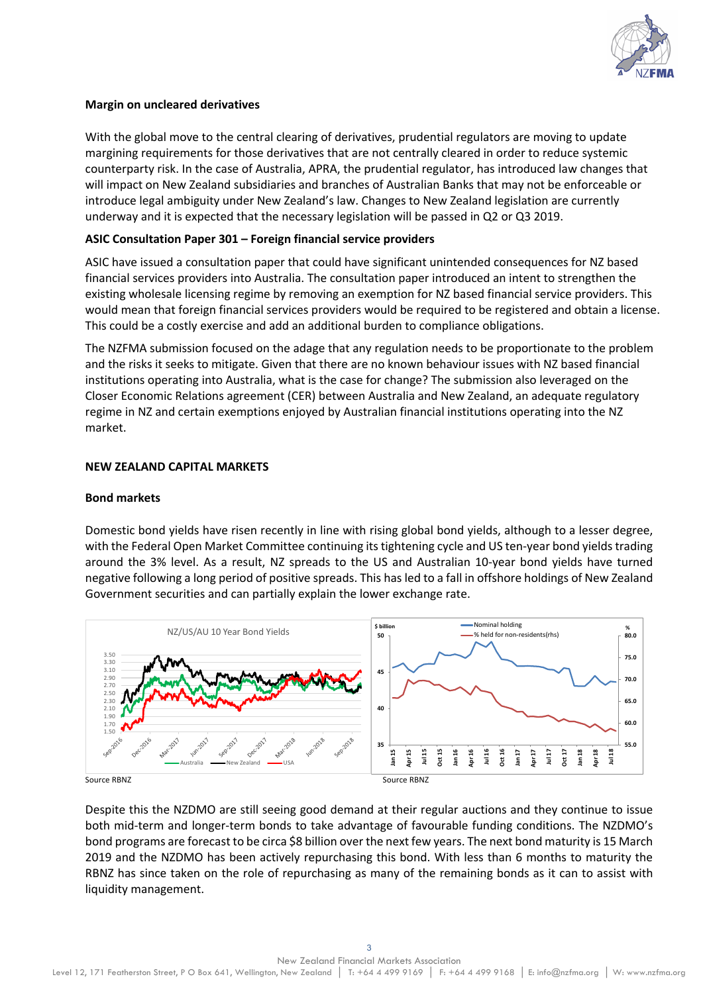

# **Margin on uncleared derivatives**

With the global move to the central clearing of derivatives, prudential regulators are moving to update margining requirements for those derivatives that are not centrally cleared in order to reduce systemic counterparty risk. In the case of Australia, APRA, the prudential regulator, has introduced law changes that will impact on New Zealand subsidiaries and branches of Australian Banks that may not be enforceable or introduce legal ambiguity under New Zealand's law. Changes to New Zealand legislation are currently underway and it is expected that the necessary legislation will be passed in Q2 or Q3 2019.

# **ASIC Consultation Paper 301 – Foreign financial service providers**

ASIC have issued a consultation paper that could have significant unintended consequences for NZ based financial services providers into Australia. The consultation paper introduced an intent to strengthen the existing wholesale licensing regime by removing an exemption for NZ based financial service providers. This would mean that foreign financial services providers would be required to be registered and obtain a license. This could be a costly exercise and add an additional burden to compliance obligations.

The NZFMA submission focused on the adage that any regulation needs to be proportionate to the problem and the risks it seeks to mitigate. Given that there are no known behaviour issues with NZ based financial institutions operating into Australia, what is the case for change? The submission also leveraged on the Closer Economic Relations agreement (CER) between Australia and New Zealand, an adequate regulatory regime in NZ and certain exemptions enjoyed by Australian financial institutions operating into the NZ market.

### **NEW ZEALAND CAPITAL MARKETS**

#### **Bond markets**

Domestic bond yields have risen recently in line with rising global bond yields, although to a lesser degree, with the Federal Open Market Committee continuing its tightening cycle and US ten-year bond yields trading around the 3% level. As a result, NZ spreads to the US and Australian 10-year bond yields have turned negative following a long period of positive spreads. This has led to a fall in offshore holdings of New Zealand Government securities and can partially explain the lower exchange rate.



Despite this the NZDMO are still seeing good demand at their regular auctions and they continue to issue both mid-term and longer-term bonds to take advantage of favourable funding conditions. The NZDMO's bond programs are forecast to be circa \$8 billion over the next few years. The next bond maturity is 15 March 2019 and the NZDMO has been actively repurchasing this bond. With less than 6 months to maturity the RBNZ has since taken on the role of repurchasing as many of the remaining bonds as it can to assist with liquidity management.